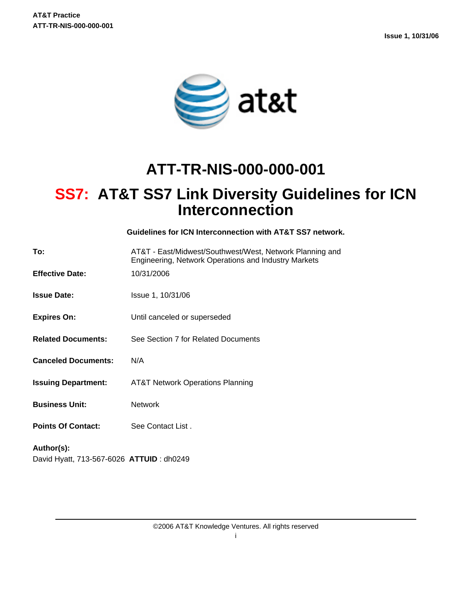

# **ATT-TR-NIS-000-000-001**

# **SS7: AT&T SS7 Link Diversity Guidelines for ICN Interconnection**

**Guidelines for ICN Interconnection with AT&T SS7 network.**

| To:                                                    | AT&T - East/Midwest/Southwest/West, Network Planning and<br>Engineering, Network Operations and Industry Markets |
|--------------------------------------------------------|------------------------------------------------------------------------------------------------------------------|
| <b>Effective Date:</b>                                 | 10/31/2006                                                                                                       |
| <b>Issue Date:</b>                                     | Issue 1, 10/31/06                                                                                                |
| <b>Expires On:</b>                                     | Until canceled or superseded                                                                                     |
| <b>Related Documents:</b>                              | See Section 7 for Related Documents                                                                              |
| <b>Canceled Documents:</b>                             | N/A                                                                                                              |
| <b>Issuing Department:</b>                             | <b>AT&amp;T Network Operations Planning</b>                                                                      |
| <b>Business Unit:</b>                                  | <b>Network</b>                                                                                                   |
| <b>Points Of Contact:</b>                              | See Contact List.                                                                                                |
| Author(s):<br>David Hyatt, 713-567-6026 ATTUID: dh0249 |                                                                                                                  |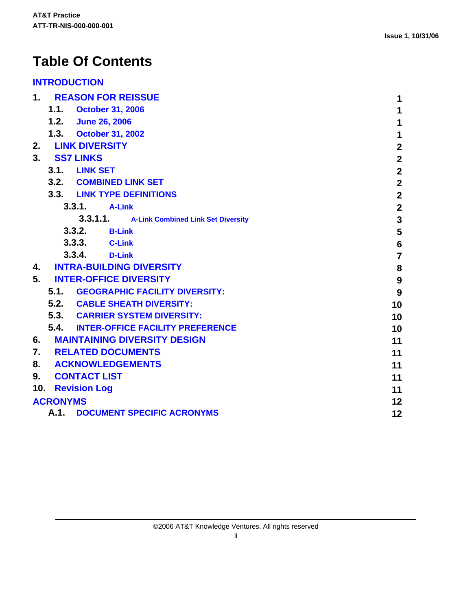# **Table Of Contents**

#### **[INTRODUCTION](#page-2-0)**

| 1.<br><b>REASON FOR REISSUE</b>             | 1                       |
|---------------------------------------------|-------------------------|
| 1.1.<br><b>October 31, 2006</b>             | 1                       |
| 1.2. June 26, 2006                          | $\mathbf 1$             |
| 1.3. October 31, 2002                       | 1                       |
| <b>LINK DIVERSITY</b><br>2.                 | $\mathbf{2}$            |
| 3.<br><b>SS7 LINKS</b>                      | $\overline{2}$          |
| 3.1.<br><b>LINK SET</b>                     | $\overline{2}$          |
| 3.2. COMBINED LINK SET                      | $\overline{\mathbf{2}}$ |
| 3.3. LINK TYPE DEFINITIONS                  | $\overline{2}$          |
| 3.3.1.<br><b>A-Link</b>                     | $\overline{\mathbf{2}}$ |
| 3.3.1.1. A-Link Combined Link Set Diversity | $\overline{\mathbf{3}}$ |
| 3.3.2.<br><b>B-Link</b>                     | 5                       |
| 3.3.3.<br><b>C-Link</b>                     | $6\phantom{1}6$         |
| 3.3.4.<br><b>D-Link</b>                     | $\overline{7}$          |
| <b>INTRA-BUILDING DIVERSITY</b><br>4.       | 8                       |
| 5.<br><b>INTER-OFFICE DIVERSITY</b>         | $\boldsymbol{9}$        |
| 5.1. GEOGRAPHIC FACILITY DIVERSITY:         | 9                       |
| 5.2. CABLE SHEATH DIVERSITY:                | 10                      |
| 5.3. CARRIER SYSTEM DIVERSITY:              | 10                      |
| 5.4. INTER-OFFICE FACILITY PREFERENCE       | 10                      |
| 6.<br><b>MAINTAINING DIVERSITY DESIGN</b>   | 11                      |
| 7. RELATED DOCUMENTS                        | 11                      |
| 8.<br><b>ACKNOWLEDGEMENTS</b>               | 11                      |
| 9.<br><b>CONTACT LIST</b>                   | 11                      |
| 10.<br><b>Revision Log</b>                  | 11                      |
| <b>ACRONYMS</b>                             | 12                      |
| A.1.<br><b>DOCUMENT SPECIFIC ACRONYMS</b>   | 12                      |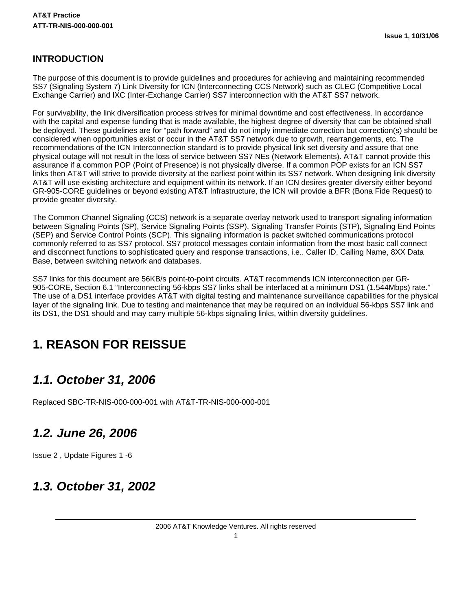#### <span id="page-2-0"></span>**INTRODUCTION**

The purpose of this document is to provide guidelines and procedures for achieving and maintaining recommended SS7 (Signaling System 7) Link Diversity for ICN (Interconnecting CCS Network) such as CLEC (Competitive Local Exchange Carrier) and IXC (Inter-Exchange Carrier) SS7 interconnection with the AT&T SS7 network.

For survivability, the link diversification process strives for minimal downtime and cost effectiveness. In accordance with the capital and expense funding that is made available, the highest degree of diversity that can be obtained shall be deployed. These guidelines are for "path forward" and do not imply immediate correction but correction(s) should be considered when opportunities exist or occur in the AT&T SS7 network due to growth, rearrangements, etc. The recommendations of the ICN Interconnection standard is to provide physical link set diversity and assure that one physical outage will not result in the loss of service between SS7 NEs (Network Elements). AT&T cannot provide this assurance if a common POP (Point of Presence) is not physically diverse. If a common POP exists for an ICN SS7 links then AT&T will strive to provide diversity at the earliest point within its SS7 network. When designing link diversity AT&T will use existing architecture and equipment within its network. If an ICN desires greater diversity either beyond GR-905-CORE guidelines or beyond existing AT&T Infrastructure, the ICN will provide a BFR (Bona Fide Request) to provide greater diversity.

The Common Channel Signaling (CCS) network is a separate overlay network used to transport signaling information between Signaling Points (SP), Service Signaling Points (SSP), Signaling Transfer Points (STP), Signaling End Points (SEP) and Service Control Points (SCP). This signaling information is packet switched communications protocol commonly referred to as SS7 protocol. SS7 protocol messages contain information from the most basic call connect and disconnect functions to sophisticated query and response transactions, i.e.. Caller ID, Calling Name, 8XX Data Base, between switching network and databases.

SS7 links for this document are 56KB/s point-to-point circuits. AT&T recommends ICN interconnection per GR-905-CORE, Section 6.1 "Interconnecting 56-kbps SS7 links shall be interfaced at a minimum DS1 (1.544Mbps) rate." The use of a DS1 interface provides AT&T with digital testing and maintenance surveillance capabilities for the physical layer of the signaling link. Due to testing and maintenance that may be required on an individual 56-kbps SS7 link and its DS1, the DS1 should and may carry multiple 56-kbps signaling links, within diversity guidelines.

## <span id="page-2-1"></span>**1. REASON FOR REISSUE**

### <span id="page-2-2"></span>**1.1. October 31, 2006**

Replaced SBC-TR-NIS-000-000-001 with AT&T-TR-NIS-000-000-001

### <span id="page-2-3"></span>**1.2. June 26, 2006**

Issue 2 , Update Figures 1 -6

### <span id="page-2-4"></span>**1.3. October 31, 2002**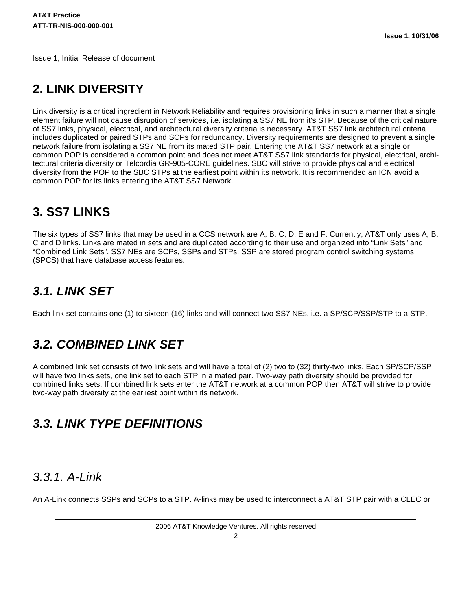Issue 1, Initial Release of document

### <span id="page-3-0"></span>**2. LINK DIVERSITY**

Link diversity is a critical ingredient in Network Reliability and requires provisioning links in such a manner that a single element failure will not cause disruption of services, i.e. isolating a SS7 NE from it's STP. Because of the critical nature of SS7 links, physical, electrical, and architectural diversity criteria is necessary. AT&T SS7 link architectural criteria includes duplicated or paired STPs and SCPs for redundancy. Diversity requirements are designed to prevent a single network failure from isolating a SS7 NE from its mated STP pair. Entering the AT&T SS7 network at a single or common POP is considered a common point and does not meet AT&T SS7 link standards for physical, electrical, architectural criteria diversity or Telcordia GR-905-CORE guidelines. SBC will strive to provide physical and electrical diversity from the POP to the SBC STPs at the earliest point within its network. It is recommended an ICN avoid a common POP for its links entering the AT&T SS7 Network.

## <span id="page-3-1"></span>**3. SS7 LINKS**

The six types of SS7 links that may be used in a CCS network are A, B, C, D, E and F. Currently, AT&T only uses A, B, C and D links. Links are mated in sets and are duplicated according to their use and organized into "Link Sets" and "Combined Link Sets". SS7 NEs are SCPs, SSPs and STPs. SSP are stored program control switching systems (SPCS) that have database access features.

## <span id="page-3-2"></span>**3.1. LINK SET**

Each link set contains one (1) to sixteen (16) links and will connect two SS7 NEs, i.e. a SP/SCP/SSP/STP to a STP.

## <span id="page-3-3"></span>**3.2. COMBINED LINK SET**

A combined link set consists of two link sets and will have a total of (2) two to (32) thirty-two links. Each SP/SCP/SSP will have two links sets, one link set to each STP in a mated pair. Two-way path diversity should be provided for combined links sets. If combined link sets enter the AT&T network at a common POP then AT&T will strive to provide two-way path diversity at the earliest point within its network.

## <span id="page-3-4"></span>**3.3. LINK TYPE DEFINITIONS**

### <span id="page-3-5"></span>3.3.1. A-Link

An A-Link connects SSPs and SCPs to a STP. A-links may be used to interconnect a AT&T STP pair with a CLEC or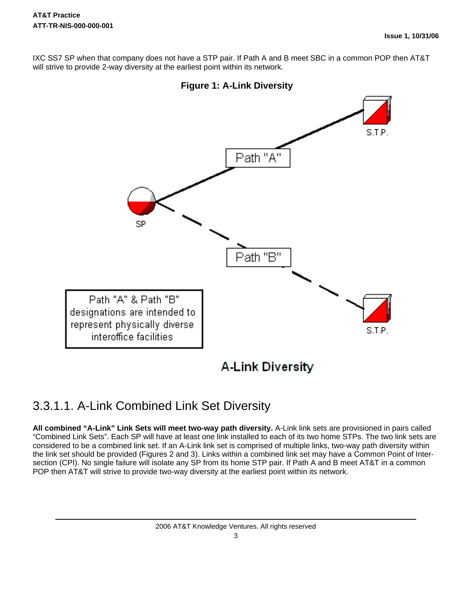IXC SS7 SP when that company does not have a STP pair. If Path A and B meet SBC in a common POP then AT&T will strive to provide 2-way diversity at the earliest point within its network.



### <span id="page-4-0"></span>3.3.1.1. A-Link Combined Link Set Diversity

**All combined "A-Link" Link Sets will meet two-way path diversity.** A-Link link sets are provisioned in pairs called "Combined Link Sets". Each SP will have at least one link installed to each of its two home STPs. The two link sets are considered to be a combined link set. If an A-Link link set is comprised of multiple links, two-way path diversity within the link set should be provided (Figures 2 and 3). Links within a combined link set may have a Common Point of Intersection (CPI). No single failure will isolate any SP from its home STP pair. If Path A and B meet AT&T in a common POP then AT&T will strive to provide two-way diversity at the earliest point within its network.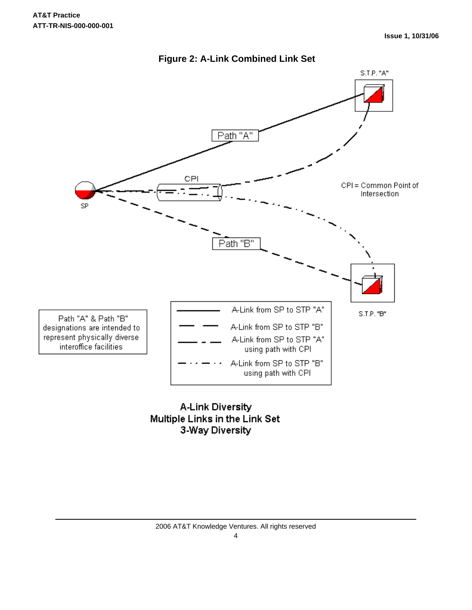



**A-Link Diversity** Multiple Links in the Link Set 3-Way Diversity

2006 AT&T Knowledge Ventures. All rights reserved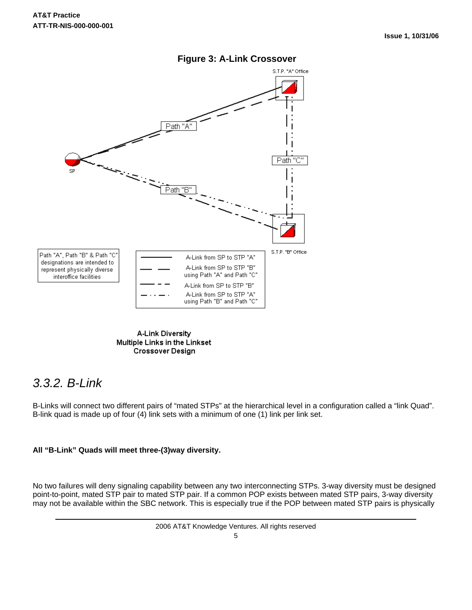

#### **Figure 3: A-Link Crossover**

**A-Link Diversity** Multiple Links in the Linkset **Crossover Design** 

### <span id="page-6-0"></span>3.3.2. B-Link

B-Links will connect two different pairs of "mated STPs" at the hierarchical level in a configuration called a "link Quad". B-link quad is made up of four (4) link sets with a minimum of one (1) link per link set.

#### **All "B-Link" Quads will meet three-(3)way diversity.**

No two failures will deny signaling capability between any two interconnecting STPs. 3-way diversity must be designed point-to-point, mated STP pair to mated STP pair. If a common POP exists between mated STP pairs, 3-way diversity may not be available within the SBC network. This is especially true if the POP between mated STP pairs is physically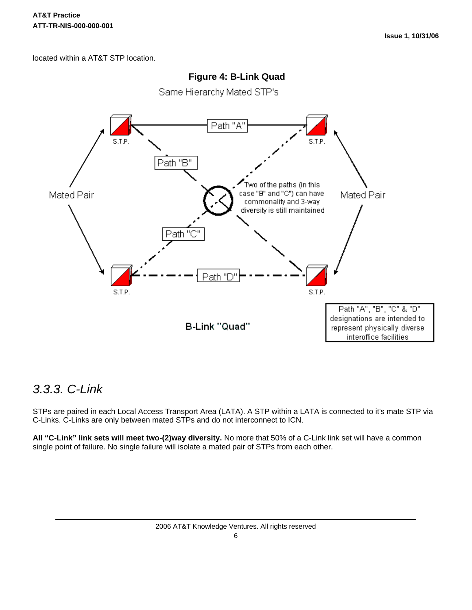located within a AT&T STP location.



#### **Figure 4: B-Link Quad**

Same Hierarchy Mated STP's

### <span id="page-7-0"></span>3.3.3. C-Link

STPs are paired in each Local Access Transport Area (LATA). A STP within a LATA is connected to it's mate STP via C-Links. C-Links are only between mated STPs and do not interconnect to ICN.

**All "C-Link" link sets will meet two-(2)way diversity.** No more that 50% of a C-Link link set will have a common single point of failure. No single failure will isolate a mated pair of STPs from each other.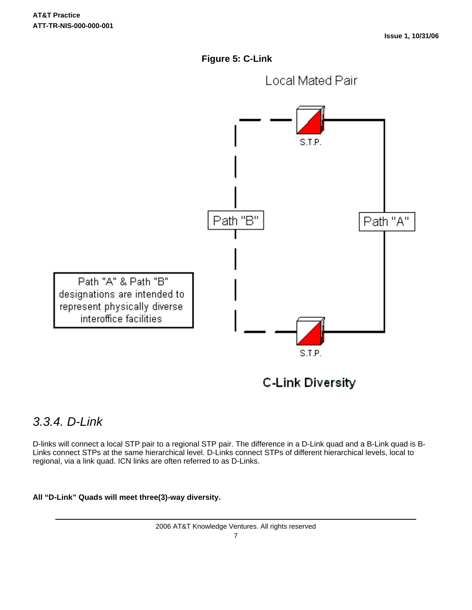**Figure 5: C-Link**



### <span id="page-8-0"></span>3.3.4. D-Link

D-links will connect a local STP pair to a regional STP pair. The difference in a D-Link quad and a B-Link quad is B-Links connect STPs at the same hierarchical level. D-Links connect STPs of different hierarchical levels, local to regional, via a link quad. ICN links are often referred to as D-Links.

#### **All "D-Link" Quads will meet three(3)-way diversity.**

2006 AT&T Knowledge Ventures. All rights reserved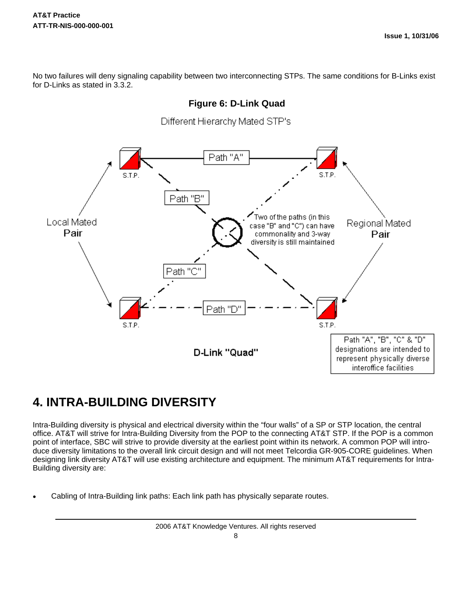No two failures will deny signaling capability between two interconnecting STPs. The same conditions for B-Links exist for D-Links as stated in 3.3.2.



## <span id="page-9-0"></span>**4. INTRA-BUILDING DIVERSITY**

Intra-Building diversity is physical and electrical diversity within the "four walls" of a SP or STP location, the central office. AT&T will strive for Intra-Building Diversity from the POP to the connecting AT&T STP. If the POP is a common point of interface, SBC will strive to provide diversity at the earliest point within its network. A common POP will introduce diversity limitations to the overall link circuit design and will not meet Telcordia GR-905-CORE guidelines. When designing link diversity AT&T will use existing architecture and equipment. The minimum AT&T requirements for Intra-Building diversity are:

Cabling of Intra-Building link paths: Each link path has physically separate routes.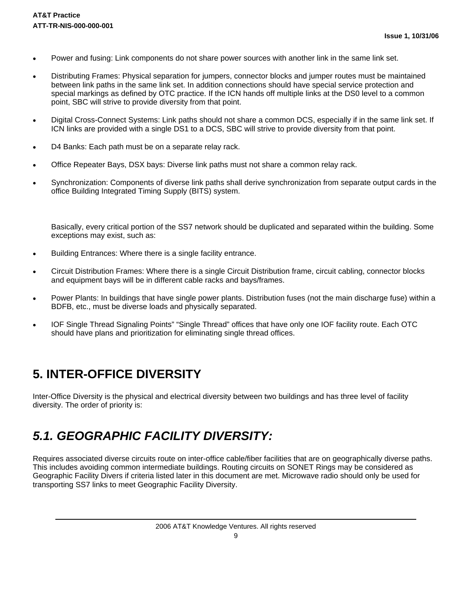- Power and fusing: Link components do not share power sources with another link in the same link set.
- Distributing Frames: Physical separation for jumpers, connector blocks and jumper routes must be maintained between link paths in the same link set. In addition connections should have special service protection and special markings as defined by OTC practice. If the ICN hands off multiple links at the DS0 level to a common point, SBC will strive to provide diversity from that point.
- Digital Cross-Connect Systems: Link paths should not share a common DCS, especially if in the same link set. If ICN links are provided with a single DS1 to a DCS, SBC will strive to provide diversity from that point.
- D4 Banks: Each path must be on a separate relay rack.
- Office Repeater Bays, DSX bays: Diverse link paths must not share a common relay rack.
- Synchronization: Components of diverse link paths shall derive synchronization from separate output cards in the office Building Integrated Timing Supply (BITS) system.

Basically, every critical portion of the SS7 network should be duplicated and separated within the building. Some exceptions may exist, such as:

- Building Entrances: Where there is a single facility entrance.
- Circuit Distribution Frames: Where there is a single Circuit Distribution frame, circuit cabling, connector blocks and equipment bays will be in different cable racks and bays/frames.
- Power Plants: In buildings that have single power plants. Distribution fuses (not the main discharge fuse) within a BDFB, etc., must be diverse loads and physically separated.
- IOF Single Thread Signaling Points" "Single Thread" offices that have only one IOF facility route. Each OTC should have plans and prioritization for eliminating single thread offices.

### <span id="page-10-0"></span>**5. INTER-OFFICE DIVERSITY**

Inter-Office Diversity is the physical and electrical diversity between two buildings and has three level of facility diversity. The order of priority is:

## <span id="page-10-1"></span>**5.1. GEOGRAPHIC FACILITY DIVERSITY:**

Requires associated diverse circuits route on inter-office cable/fiber facilities that are on geographically diverse paths. This includes avoiding common intermediate buildings. Routing circuits on SONET Rings may be considered as Geographic Facility Divers if criteria listed later in this document are met. Microwave radio should only be used for transporting SS7 links to meet Geographic Facility Diversity.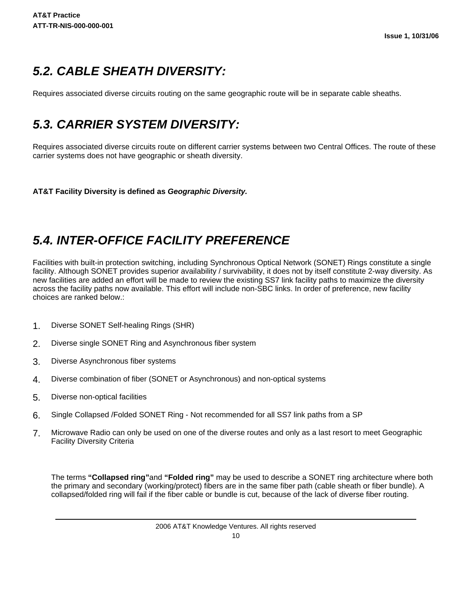## <span id="page-11-0"></span>**5.2. CABLE SHEATH DIVERSITY:**

Requires associated diverse circuits routing on the same geographic route will be in separate cable sheaths.

## <span id="page-11-1"></span>**5.3. CARRIER SYSTEM DIVERSITY:**

Requires associated diverse circuits route on different carrier systems between two Central Offices. The route of these carrier systems does not have geographic or sheath diversity.

**AT&T Facility Diversity is defined as Geographic Diversity.**

## <span id="page-11-2"></span>**5.4. INTER-OFFICE FACILITY PREFERENCE**

Facilities with built-in protection switching, including Synchronous Optical Network (SONET) Rings constitute a single facility. Although SONET provides superior availability / survivability, it does not by itself constitute 2-way diversity. As new facilities are added an effort will be made to review the existing SS7 link facility paths to maximize the diversity across the facility paths now available. This effort will include non-SBC links. In order of preference, new facility choices are ranked below.:

- 1. Diverse SONET Self-healing Rings (SHR)
- 2. Diverse single SONET Ring and Asynchronous fiber system
- 3. Diverse Asynchronous fiber systems
- 4. Diverse combination of fiber (SONET or Asynchronous) and non-optical systems
- 5. Diverse non-optical facilities
- 6. Single Collapsed /Folded SONET Ring Not recommended for all SS7 link paths from a SP
- 7. Microwave Radio can only be used on one of the diverse routes and only as a last resort to meet Geographic Facility Diversity Criteria

The terms **"Collapsed ring"**and **"Folded ring"** may be used to describe a SONET ring architecture where both the primary and secondary (working/protect) fibers are in the same fiber path (cable sheath or fiber bundle). A collapsed/folded ring will fail if the fiber cable or bundle is cut, because of the lack of diverse fiber routing.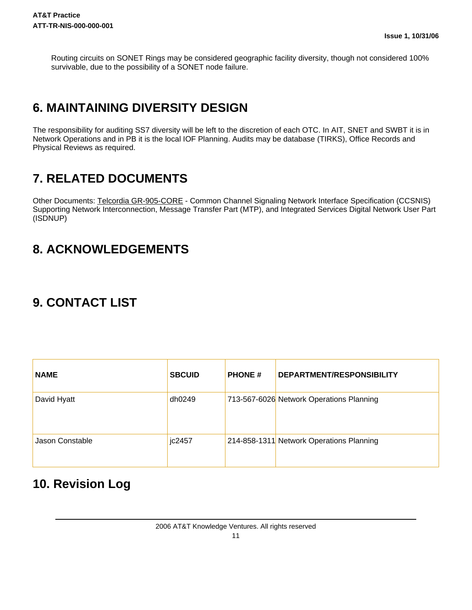Routing circuits on SONET Rings may be considered geographic facility diversity, though not considered 100% survivable, due to the possibility of a SONET node failure.

## <span id="page-12-0"></span>**6. MAINTAINING DIVERSITY DESIGN**

The responsibility for auditing SS7 diversity will be left to the discretion of each OTC. In AIT, SNET and SWBT it is in Network Operations and in PB it is the local IOF Planning. Audits may be database (TIRKS), Office Records and Physical Reviews as required.

## <span id="page-12-1"></span>**7. RELATED DOCUMENTS**

Other Documents: Telcordia GR-905-CORE - Common Channel Signaling Network Interface Specification (CCSNIS) Supporting Network Interconnection, Message Transfer Part (MTP), and Integrated Services Digital Network User Part (ISDNUP)

## <span id="page-12-2"></span>**8. ACKNOWLEDGEMENTS**

## <span id="page-12-3"></span>**9. CONTACT LIST**

| <b>NAME</b>     | <b>SBCUID</b> | <b>PHONE#</b> | DEPARTMENT/RESPONSIBILITY                |
|-----------------|---------------|---------------|------------------------------------------|
| David Hyatt     | dh0249        |               | 713-567-6026 Network Operations Planning |
| Jason Constable | jc2457        |               | 214-858-1311 Network Operations Planning |

### <span id="page-12-4"></span>**10. Revision Log**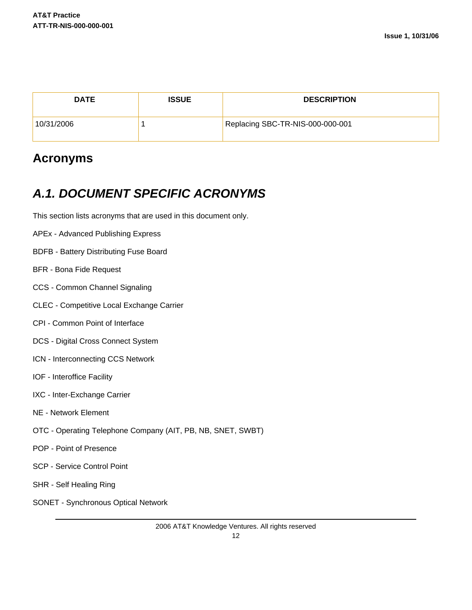| <b>DATE</b> | <b>ISSUE</b> | <b>DESCRIPTION</b>               |
|-------------|--------------|----------------------------------|
| 10/31/2006  |              | Replacing SBC-TR-NIS-000-000-001 |

### <span id="page-13-0"></span>**Acronyms**

## <span id="page-13-1"></span>**A.1. DOCUMENT SPECIFIC ACRONYMS**

This section lists acronyms that are used in this document only.

- APEx Advanced Publishing Express
- BDFB Battery Distributing Fuse Board
- BFR Bona Fide Request
- CCS Common Channel Signaling
- CLEC Competitive Local Exchange Carrier
- CPI Common Point of Interface
- DCS Digital Cross Connect System
- ICN Interconnecting CCS Network
- IOF Interoffice Facility
- IXC Inter-Exchange Carrier
- NE Network Element
- OTC Operating Telephone Company (AIT, PB, NB, SNET, SWBT)
- POP Point of Presence
- SCP Service Control Point
- SHR Self Healing Ring
- SONET Synchronous Optical Network